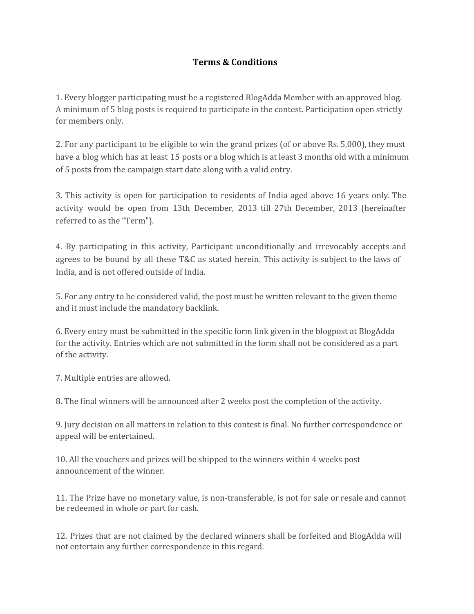## **Terms & Conditions**

1. Every blogger participating must be a registered BlogAdda Member with an approved blog. A minimum of 5 blog posts is required to participate in the contest. Participation open strictly for members only.

2. For any participant to be eligible to win the grand prizes (of or above Rs. 5,000), they must have a blog which has at least 15 posts or a blog which is at least 3 months old with a minimum of 5 posts from the campaign start date along with a valid entry.

3. This activity is open for participation to residents of India aged above 16 years only. The activity would be open from 13th December, 2013 till 27th December, 2013 (hereinafter referred to as the "Term").

4. By participating in this activity, Participant unconditionally and irrevocably accepts and agrees to be bound by all these T&C as stated herein. This activity is subject to the laws of India, and is not offered outside of India.

5. For any entry to be considered valid, the post must be written relevant to the given theme and it must include the mandatory backlink.

6. Every entry must be submitted in the specific form link given in the blogpost at BlogAdda for the activity. Entries which are not submitted in the form shall not be considered as a part of the activity.

7. Multiple entries are allowed.

8. The final winners will be announced after 2 weeks post the completion of the activity.

9. Jury decision on all matters in relation to this contest is final. No further correspondence or appeal will be entertained.

10. All the vouchers and prizes will be shipped to the winners within 4 weeks post announcement of the winner.

11. The Prize have no monetary value, is non-transferable, is not for sale or resale and cannot be redeemed in whole or part for cash.

12. Prizes that are not claimed by the declared winners shall be forfeited and BlogAdda will not entertain any further correspondence in this regard.